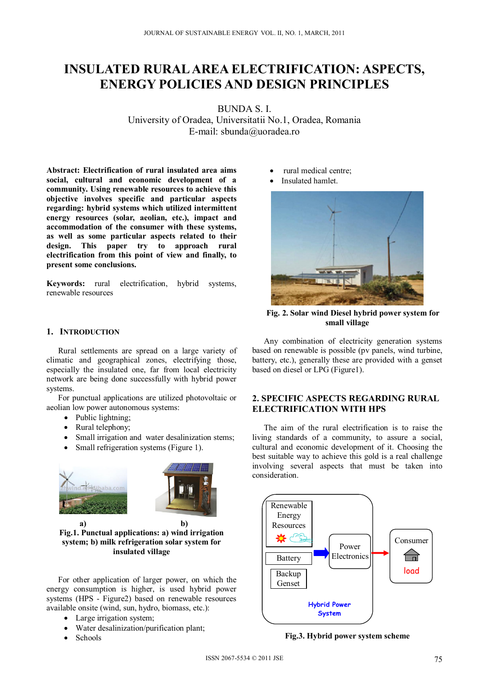# **INSULATED RURAL AREA ELECTRIFICATION: ASPECTS, ENERGY POLICIES AND DESIGN PRINCIPLES**

BUNDA S. I. University of Oradea, Universitatii No.1, Oradea, Romania E-mail: sbunda@uoradea.ro

**Abstract: Electrification of rural insulated area aims social, cultural and economic development of a community. Using renewable resources to achieve this objective involves specific and particular aspects regarding: hybrid systems which utilized intermittent energy resources (solar, aeolian, etc.), impact and accommodation of the consumer with these systems, as well as some particular aspects related to their design. This paper try to approach rural electrification from this point of view and finally, to present some conclusions.** 

**Keywords:** rural electrification, hybrid systems, renewable resources

#### **1. INTRODUCTION**

Rural settlements are spread on a large variety of climatic and geographical zones, electrifying those, especially the insulated one, far from local electricity network are being done successfully with hybrid power systems.

For punctual applications are utilized photovoltaic or aeolian low power autonomous systems:

- Public lightning;
- Rural telephony;
- Small irrigation and water desalinization stems;
- Small refrigeration systems (Figure 1).





 **a) b) Fig.1. Punctual applications: a) wind irrigation system; b) milk refrigeration solar system for insulated village** 

For other application of larger power, on which the energy consumption is higher, is used hybrid power systems (HPS - Figure2) based on renewable resources available onsite (wind, sun, hydro, biomass, etc.):

- Large irrigation system;
- Water desalinization/purification plant;
- Schools
- rural medical centre;
	- Insulated hamlet.



**Fig. 2. Solar wind Diesel hybrid power system for small village** 

Any combination of electricity generation systems based on renewable is possible (pv panels, wind turbine, battery, etc.), generally these are provided with a genset based on diesel or LPG (Figure1).

## **2. SPECIFIC ASPECTS REGARDING RURAL ELECTRIFICATION WITH HPS**

The aim of the rural electrification is to raise the living standards of a community, to assure a social, cultural and economic development of it. Choosing the best suitable way to achieve this gold is a real challenge involving several aspects that must be taken into consideration.



**Fig.3. Hybrid power system scheme**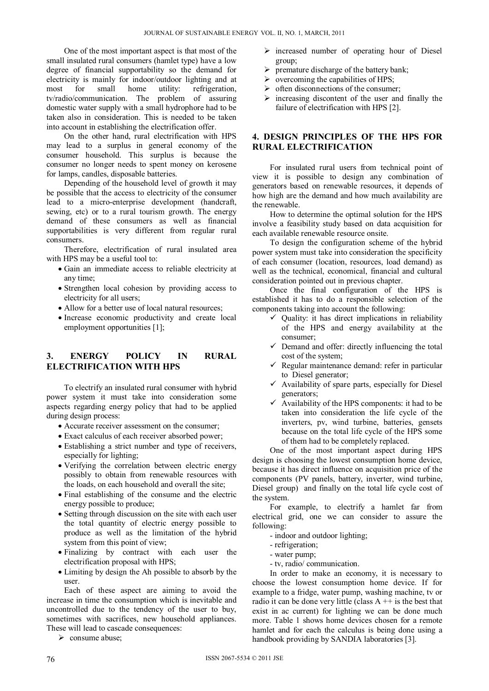One of the most important aspect is that most of the small insulated rural consumers (hamlet type) have a low degree of financial supportability so the demand for electricity is mainly for indoor/outdoor lighting and at most for small home utility: refrigeration, most for small home utility: refrigeration, tv/radio/communication. The problem of assuring domestic water supply with a small hydrophore had to be taken also in consideration. This is needed to be taken into account in establishing the electrification offer.

On the other hand, rural electrification with HPS may lead to a surplus in general economy of the consumer household. This surplus is because the consumer no longer needs to spent money on kerosene for lamps, candles, disposable batteries.

Depending of the household level of growth it may be possible that the access to electricity of the consumer lead to a micro-enterprise development (handcraft, sewing, etc) or to a rural tourism growth. The energy demand of these consumers as well as financial supportabilities is very different from regular rural consumers.

Therefore, electrification of rural insulated area with HPS may be a useful tool to:

- Gain an immediate access to reliable electricity at any time;
- Strengthen local cohesion by providing access to electricity for all users;
- Allow for a better use of local natural resources;
- Increase economic productivity and create local employment opportunities [1];

## **3. ENERGY POLICY IN RURAL ELECTRIFICATION WITH HPS**

To electrify an insulated rural consumer with hybrid power system it must take into consideration some aspects regarding energy policy that had to be applied during design process:

- Accurate receiver assessment on the consumer;
- Exact calculus of each receiver absorbed power;
- Establishing a strict number and type of receivers, especially for lighting;
- Verifying the correlation between electric energy possibly to obtain from renewable resources with the loads, on each household and overall the site;
- Final establishing of the consume and the electric energy possible to produce;
- Setting through discussion on the site with each user the total quantity of electric energy possible to produce as well as the limitation of the hybrid system from this point of view;
- Finalizing by contract with each user the electrification proposal with HPS;
- Limiting by design the Ah possible to absorb by the user.

Each of these aspect are aiming to avoid the increase in time the consumption which is inevitable and uncontrolled due to the tendency of the user to buy, sometimes with sacrifices, new household appliances. These will lead to cascade consequences:

 $\triangleright$  consume abuse;

- $\triangleright$  increased number of operating hour of Diesel group;
- $\triangleright$  premature discharge of the battery bank;
- $\triangleright$  overcoming the capabilities of HPS;
- $\triangleright$  often disconnections of the consumer;
- $\triangleright$  increasing discontent of the user and finally the failure of electrification with HPS [2].

## **4. DESIGN PRINCIPLES OF THE HPS FOR RURAL ELECTRIFICATION**

For insulated rural users from technical point of view it is possible to design any combination of generators based on renewable resources, it depends of how high are the demand and how much availability are the renewable.

How to determine the optimal solution for the HPS involve a feasibility study based on data acquisition for each available renewable resource onsite.

To design the configuration scheme of the hybrid power system must take into consideration the specificity of each consumer (location, resources, load demand) as well as the technical, economical, financial and cultural consideration pointed out in previous chapter.

Once the final configuration of the HPS is established it has to do a responsible selection of the components taking into account the following:

- $\checkmark$  Quality: it has direct implications in reliability of the HPS and energy availability at the consumer;
- $\checkmark$  Demand and offer: directly influencing the total cost of the system;
- $\checkmark$  Regular maintenance demand: refer in particular to Diesel generator;
- $\checkmark$  Availability of spare parts, especially for Diesel generators;
- $\checkmark$  Availability of the HPS components: it had to be taken into consideration the life cycle of the inverters, pv, wind turbine, batteries, gensets because on the total life cycle of the HPS some of them had to be completely replaced.

One of the most important aspect during HPS design is choosing the lowest consumption home device, because it has direct influence on acquisition price of the components (PV panels, battery, inverter, wind turbine, Diesel group) and finally on the total life cycle cost of the system.

For example, to electrify a hamlet far from electrical grid, one we can consider to assure the following:

- indoor and outdoor lighting;
- refrigeration;
- water pump;
- tv, radio/ communication.

In order to make an economy, it is necessary to choose the lowest consumption home device. If for example to a fridge, water pump, washing machine, tv or radio it can be done very little (class  $A + i$  is the best that exist in ac current) for lighting we can be done much more. Table 1 shows home devices chosen for a remote hamlet and for each the calculus is being done using a handbook providing by SANDIA laboratories [3].